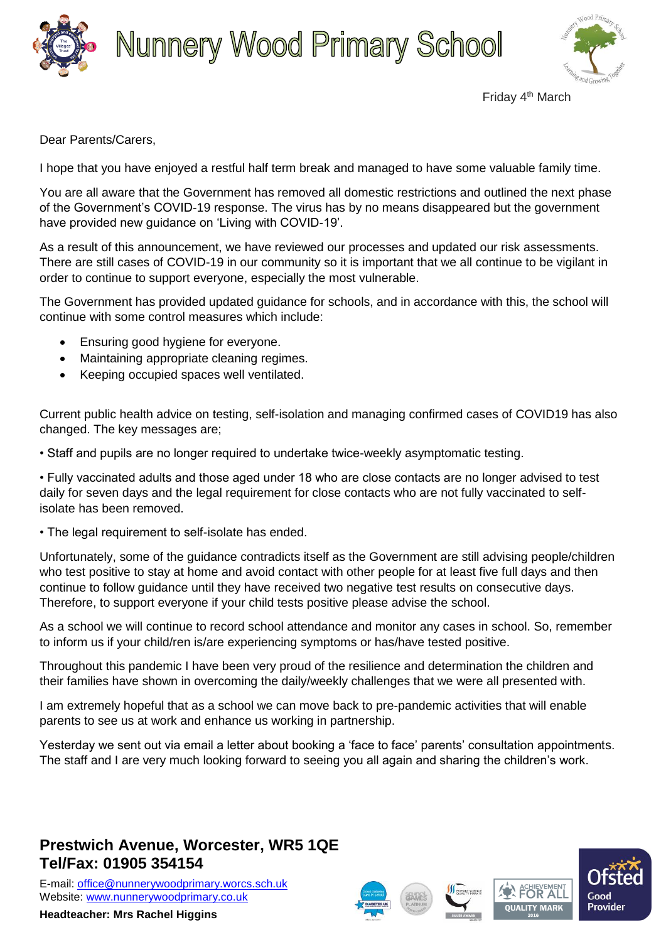





Friday 4th March

Dear Parents/Carers,

I hope that you have enjoyed a restful half term break and managed to have some valuable family time.

You are all aware that the Government has removed all domestic restrictions and outlined the next phase of the Government's COVID-19 response. The virus has by no means disappeared but the government have provided new guidance on 'Living with COVID-19'.

As a result of this announcement, we have reviewed our processes and updated our risk assessments. There are still cases of COVID-19 in our community so it is important that we all continue to be vigilant in order to continue to support everyone, especially the most vulnerable.

The Government has provided updated guidance for schools, and in accordance with this, the school will continue with some control measures which include:

- Ensuring good hygiene for everyone.
- Maintaining appropriate cleaning regimes.
- Keeping occupied spaces well ventilated.

Current public health advice on testing, self-isolation and managing confirmed cases of COVID19 has also changed. The key messages are;

• Staff and pupils are no longer required to undertake twice-weekly asymptomatic testing.

• Fully vaccinated adults and those aged under 18 who are close contacts are no longer advised to test daily for seven days and the legal requirement for close contacts who are not fully vaccinated to selfisolate has been removed.

• The legal requirement to self-isolate has ended.

Unfortunately, some of the guidance contradicts itself as the Government are still advising people/children who test positive to stay at home and avoid contact with other people for at least five full days and then continue to follow guidance until they have received two negative test results on consecutive days. Therefore, to support everyone if your child tests positive please advise the school.

As a school we will continue to record school attendance and monitor any cases in school. So, remember to inform us if your child/ren is/are experiencing symptoms or has/have tested positive.

Throughout this pandemic I have been very proud of the resilience and determination the children and their families have shown in overcoming the daily/weekly challenges that we were all presented with.

I am extremely hopeful that as a school we can move back to pre-pandemic activities that will enable parents to see us at work and enhance us working in partnership.

Yesterday we sent out via email a letter about booking a 'face to face' parents' consultation appointments. The staff and I are very much looking forward to seeing you all again and sharing the children's work.

## **Prestwich Avenue, Worcester, WR5 1QE Tel/Fax: 01905 354154**

E-mail: [office@nunnerywoodprimary.worcs.sch.uk](mailto:office@nunnerywoodprimary.worcs.sch.uk) Website: [www.nunnerywoodprimary.co.uk](http://www.nunnerywoodprimary.worcs.sch.uk/)

**Headteacher: Mrs Rachel Higgins**









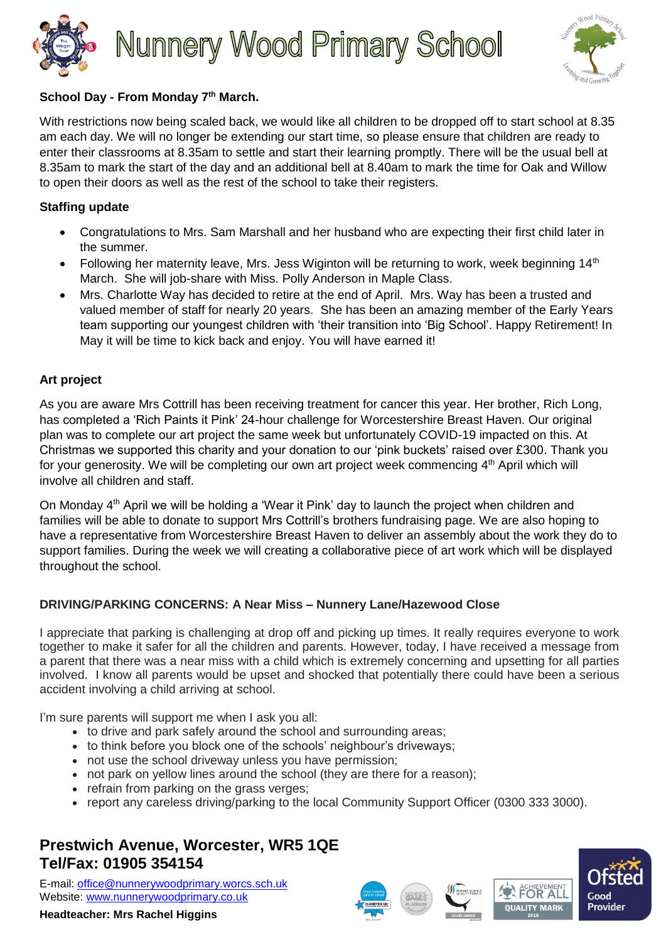



#### **School Day - From Monday 7th March.**

With restrictions now being scaled back, we would like all children to be dropped off to start school at 8.35 am each day. We will no longer be extending our start time, so please ensure that children are ready to enter their classrooms at 8.35am to settle and start their learning promptly. There will be the usual bell at 8.35am to mark the start of the day and an additional bell at 8.40am to mark the time for Oak and Willow to open their doors as well as the rest of the school to take their registers.

#### **Staffing update**

- Congratulations to Mrs. Sam Marshall and her husband who are expecting their first child later in the summer.
- Following her maternity leave, Mrs. Jess Wiginton will be returning to work, week beginning  $14<sup>th</sup>$ March. She will job-share with Miss. Polly Anderson in Maple Class.
- Mrs. Charlotte Way has decided to retire at the end of April. Mrs. Way has been a trusted and valued member of staff for nearly 20 years. She has been an amazing member of the Early Years team supporting our youngest children with 'their transition into 'Big School'. Happy Retirement! In May it will be time to kick back and enjoy. You will have earned it!

#### **Art project**

As you are aware Mrs Cottrill has been receiving treatment for cancer this year. Her brother, Rich Long, has completed a 'Rich Paints it Pink' 24-hour challenge for Worcestershire Breast Haven. Our original plan was to complete our art project the same week but unfortunately COVID-19 impacted on this. At Christmas we supported this charity and your donation to our 'pink buckets' raised over £300. Thank you for your generosity. We will be completing our own art project week commencing 4<sup>th</sup> April which will involve all children and staff.

On Monday  $4<sup>th</sup>$  April we will be holding a 'Wear it Pink' day to launch the project when children and families will be able to donate to support Mrs Cottrill's brothers fundraising page. We are also hoping to have a representative from Worcestershire Breast Haven to deliver an assembly about the work they do to support families. During the week we will creating a collaborative piece of art work which will be displayed throughout the school.

### **DRIVING/PARKING CONCERNS: A Near Miss – Nunnery Lane/Hazewood Close**

I appreciate that parking is challenging at drop off and picking up times. It really requires everyone to work together to make it safer for all the children and parents. However, today, I have received a message from a parent that there was a near miss with a child which is extremely concerning and upsetting for all parties involved. I know all parents would be upset and shocked that potentially there could have been a serious accident involving a child arriving at school.

I'm sure parents will support me when I ask you all:

- to drive and park safely around the school and surrounding areas;
- to think before you block one of the schools' neighbour's driveways;
- not use the school driveway unless you have permission;
- not park on yellow lines around the school (they are there for a reason);
- refrain from parking on the grass verges;
- report any careless driving/parking to the local Community Support Officer (0300 333 3000).

# **Prestwich Avenue, Worcester, WR5 1QE Tel/Fax: 01905 354154**

E-mail: [office@nunnerywoodprimary.worcs.sch.uk](mailto:office@nunnerywoodprimary.worcs.sch.uk) Website: [www.nunnerywoodprimary.co.uk](http://www.nunnerywoodprimary.worcs.sch.uk/)

**Headteacher: Mrs Rachel Higgins**